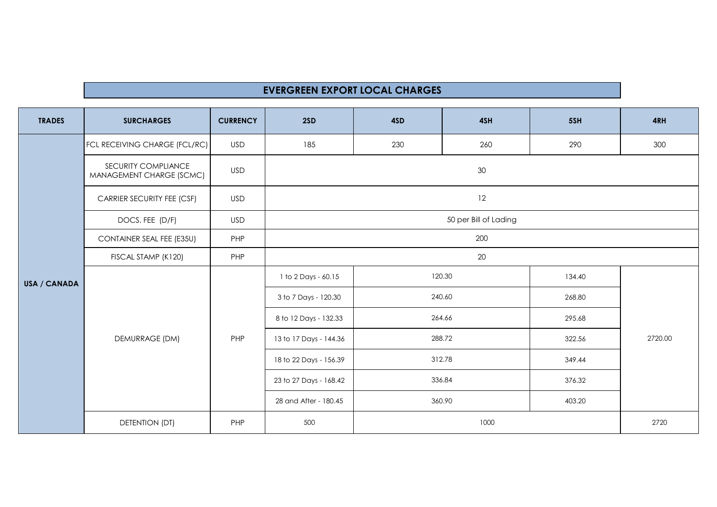## **EVERGREEN EXPORT LOCAL CHARGES**

| <b>TRADES</b> | <b>SURCHARGES</b>                               | <b>CURRENCY</b> | 2SD                    | 4SD    | 4SH | 5SH    | 4RH     |  |
|---------------|-------------------------------------------------|-----------------|------------------------|--------|-----|--------|---------|--|
| USA / CANADA  | FCL RECEIVING CHARGE (FCL/RC)                   | USD             | 185                    | 230    | 260 | 290    | 300     |  |
|               | SECURITY COMPLIANCE<br>MANAGEMENT CHARGE (SCMC) | <b>USD</b>      | 30                     |        |     |        |         |  |
|               | <b>CARRIER SECURITY FEE (CSF)</b>               | <b>USD</b>      | 12                     |        |     |        |         |  |
|               | DOCS. FEE (D/F)                                 | <b>USD</b>      | 50 per Bill of Lading  |        |     |        |         |  |
|               | <b>CONTAINER SEAL FEE (E35U)</b>                | PHP             | 200                    |        |     |        |         |  |
|               | FISCAL STAMP (K120)                             | PHP             | 20                     |        |     |        |         |  |
|               | DEMURRAGE (DM)                                  | PHP             | 1 to 2 Days - 60.15    | 120.30 |     | 134.40 | 2720.00 |  |
|               |                                                 |                 | 3 to 7 Days - 120.30   | 240.60 |     | 268.80 |         |  |
|               |                                                 |                 | 8 to 12 Days - 132.33  | 264.66 |     | 295.68 |         |  |
|               |                                                 |                 | 13 to 17 Days - 144.36 | 288.72 |     | 322.56 |         |  |
|               |                                                 |                 | 18 to 22 Days - 156.39 | 312.78 |     | 349.44 |         |  |
|               |                                                 |                 | 23 to 27 Days - 168.42 | 336.84 |     | 376.32 |         |  |
|               |                                                 |                 | 28 and After - 180.45  | 360.90 |     | 403.20 |         |  |
|               | DETENTION (DT)                                  | PHP             | 500                    | 1000   |     |        | 2720    |  |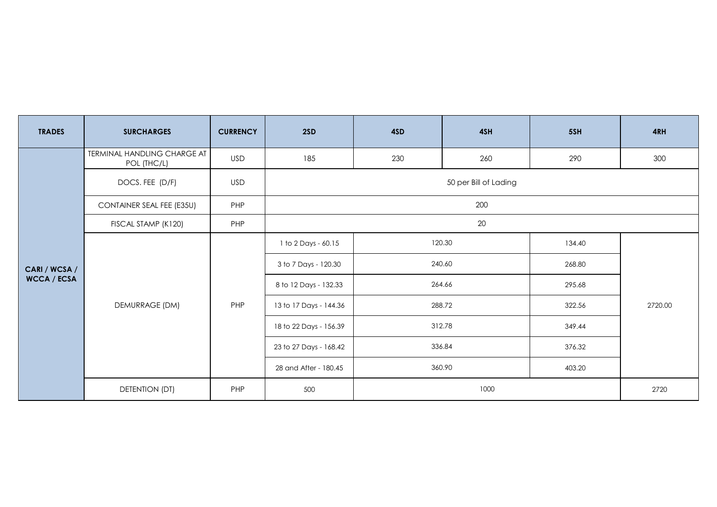| <b>TRADES</b>      | <b>SURCHARGES</b>                          | <b>CURRENCY</b> | 2SD                    | 4SD    | 4SH | 5SH    | 4RH     |  |
|--------------------|--------------------------------------------|-----------------|------------------------|--------|-----|--------|---------|--|
|                    | TERMINAL HANDLING CHARGE AT<br>POL (THC/L) | <b>USD</b>      | 185                    | 230    | 260 | 290    | 300     |  |
|                    | DOCS. FEE (D/F)                            | <b>USD</b>      | 50 per Bill of Lading  |        |     |        |         |  |
|                    | <b>CONTAINER SEAL FEE (E35U)</b>           | PHP             | 200                    |        |     |        |         |  |
|                    | FISCAL STAMP (K120)                        | PHP             | 20                     |        |     |        |         |  |
|                    | DEMURRAGE (DM)                             | PHP             | 1 to 2 Days - 60.15    | 120.30 |     | 134.40 | 2720.00 |  |
| CARI / WCSA /      |                                            |                 | 3 to 7 Days - 120.30   | 240.60 |     | 268.80 |         |  |
| <b>WCCA / ECSA</b> |                                            |                 | 8 to 12 Days - 132.33  | 264.66 |     | 295.68 |         |  |
|                    |                                            |                 | 13 to 17 Days - 144.36 | 288.72 |     | 322.56 |         |  |
|                    |                                            |                 | 18 to 22 Days - 156.39 | 312.78 |     | 349.44 |         |  |
|                    |                                            |                 | 23 to 27 Days - 168.42 | 336.84 |     | 376.32 |         |  |
|                    |                                            |                 | 28 and After - 180.45  | 360.90 |     | 403.20 |         |  |
|                    | DETENTION (DT)                             | PHP             | 500                    | 1000   |     | 2720   |         |  |